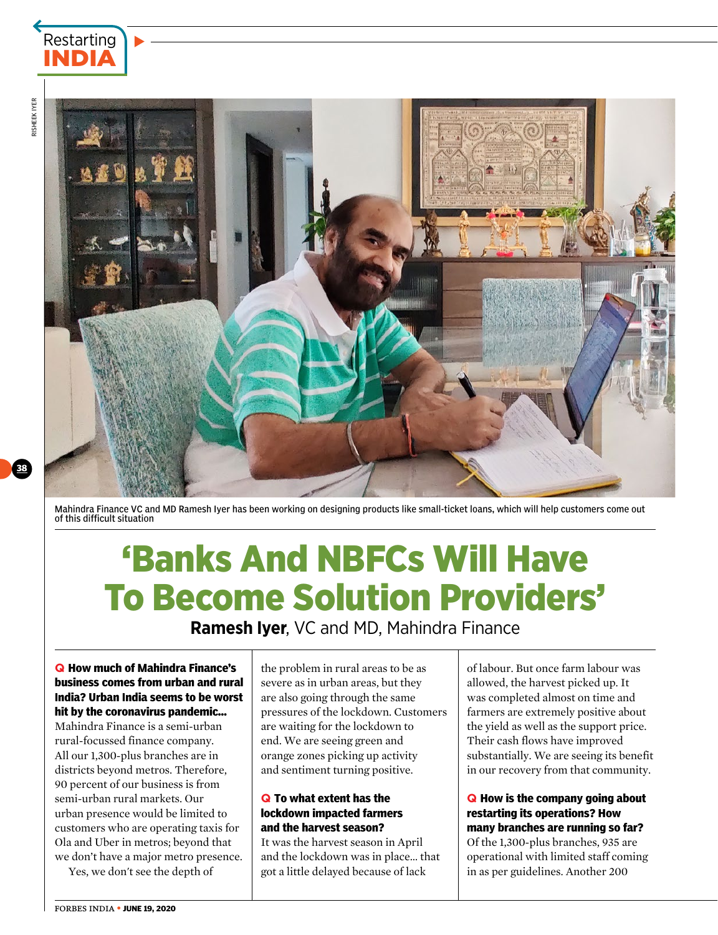

38



Mahindra Finance VC and MD Ramesh Iyer has been working on designing products like small-ticket loans, which will help customers come out of this difficult situation

# 'Banks And NBFCs Will Have To Become Solution Providers'

**Ramesh Iyer**, VC and MD, Mahindra Finance

#### **q How much of Mahindra Finance's business comes from urban and rural India? Urban India seems to be worst hit by the coronavirus pandemic…**

Mahindra Finance is a semi-urban rural-focussed finance company. All our 1,300-plus branches are in districts beyond metros. Therefore, 90 percent of our business is from semi-urban rural markets. Our urban presence would be limited to customers who are operating taxis for Ola and Uber in metros; beyond that we don't have a major metro presence.

Yes, we don't see the depth of

the problem in rural areas to be as severe as in urban areas, but they are also going through the same pressures of the lockdown. Customers are waiting for the lockdown to end. We are seeing green and orange zones picking up activity and sentiment turning positive.

## **q To what extent has the lockdown impacted farmers and the harvest season?**

It was the harvest season in April and the lockdown was in place… that got a little delayed because of lack

of labour. But once farm labour was allowed, the harvest picked up. It was completed almost on time and farmers are extremely positive about the yield as well as the support price. Their cash flows have improved substantially. We are seeing its benefit in our recovery from that community.

# **q How is the company going about restarting its operations? How many branches are running so far?**

Of the 1,300-plus branches, 935 are operational with limited staff coming in as per guidelines. Another 200